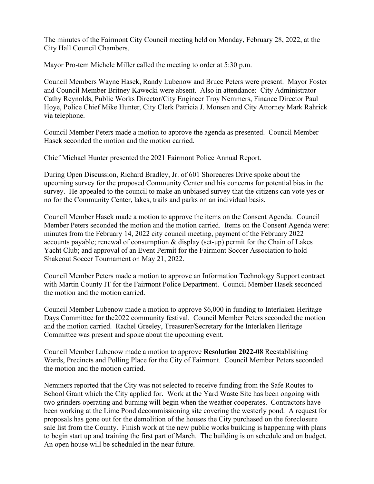The minutes of the Fairmont City Council meeting held on Monday, February 28, 2022, at the City Hall Council Chambers.

Mayor Pro-tem Michele Miller called the meeting to order at 5:30 p.m.

Council Members Wayne Hasek, Randy Lubenow and Bruce Peters were present. Mayor Foster and Council Member Britney Kawecki were absent. Also in attendance: City Administrator Cathy Reynolds, Public Works Director/City Engineer Troy Nemmers, Finance Director Paul Hoye, Police Chief Mike Hunter, City Clerk Patricia J. Monsen and City Attorney Mark Rahrick via telephone.

Council Member Peters made a motion to approve the agenda as presented. Council Member Hasek seconded the motion and the motion carried.

Chief Michael Hunter presented the 2021 Fairmont Police Annual Report.

During Open Discussion, Richard Bradley, Jr. of 601 Shoreacres Drive spoke about the upcoming survey for the proposed Community Center and his concerns for potential bias in the survey. He appealed to the council to make an unbiased survey that the citizens can vote yes or no for the Community Center, lakes, trails and parks on an individual basis.

Council Member Hasek made a motion to approve the items on the Consent Agenda. Council Member Peters seconded the motion and the motion carried. Items on the Consent Agenda were: minutes from the February 14, 2022 city council meeting, payment of the February 2022 accounts payable; renewal of consumption & display (set-up) permit for the Chain of Lakes Yacht Club; and approval of an Event Permit for the Fairmont Soccer Association to hold Shakeout Soccer Tournament on May 21, 2022.

Council Member Peters made a motion to approve an Information Technology Support contract with Martin County IT for the Fairmont Police Department. Council Member Hasek seconded the motion and the motion carried.

Council Member Lubenow made a motion to approve \$6,000 in funding to Interlaken Heritage Days Committee for the2022 community festival. Council Member Peters seconded the motion and the motion carried. Rachel Greeley, Treasurer/Secretary for the Interlaken Heritage Committee was present and spoke about the upcoming event.

Council Member Lubenow made a motion to approve **Resolution 2022-08** Reestablishing Wards, Precincts and Polling Place for the City of Fairmont. Council Member Peters seconded the motion and the motion carried.

Nemmers reported that the City was not selected to receive funding from the Safe Routes to School Grant which the City applied for. Work at the Yard Waste Site has been ongoing with two grinders operating and burning will begin when the weather cooperates. Contractors have been working at the Lime Pond decommissioning site covering the westerly pond. A request for proposals has gone out for the demolition of the houses the City purchased on the foreclosure sale list from the County. Finish work at the new public works building is happening with plans to begin start up and training the first part of March. The building is on schedule and on budget. An open house will be scheduled in the near future.